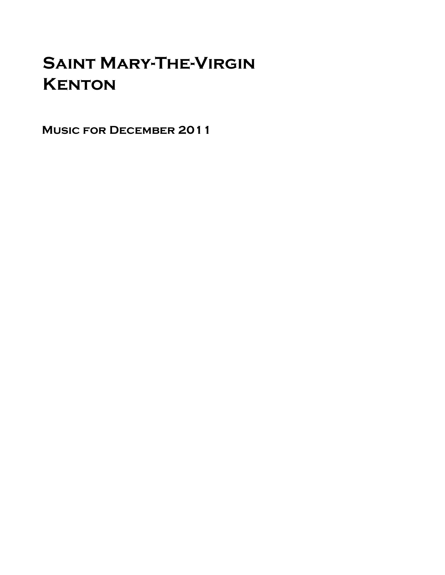# Saint Mary-The-Virgin **KENTON**

Music for December 2011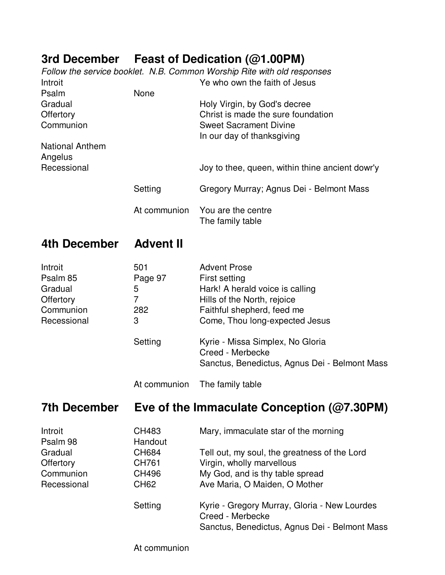### **3rd December Feast of Dedication (@1.00PM)**

|                        |              | Follow the service booklet. N.B. Common Worship Rite with old responses |
|------------------------|--------------|-------------------------------------------------------------------------|
| Introit                |              | Ye who own the faith of Jesus                                           |
| Psalm                  | None         |                                                                         |
| Gradual                |              | Holy Virgin, by God's decree                                            |
| Offertory              |              | Christ is made the sure foundation                                      |
| Communion              |              | <b>Sweet Sacrament Divine</b>                                           |
|                        |              | In our day of thanksgiving                                              |
| <b>National Anthem</b> |              |                                                                         |
| Angelus                |              |                                                                         |
| Recessional            |              | Joy to thee, queen, within thine ancient dowr'y                         |
|                        |              |                                                                         |
|                        | Setting      | Gregory Murray; Agnus Dei - Belmont Mass                                |
|                        |              |                                                                         |
|                        | At communion | You are the centre                                                      |
|                        |              | The family table                                                        |
|                        |              |                                                                         |

#### **4th December Advent II**

| Introit                     | 501                              | <b>Advent Prose</b>                                                                                                   |
|-----------------------------|----------------------------------|-----------------------------------------------------------------------------------------------------------------------|
| Psalm 85                    | Page 97                          | First setting                                                                                                         |
| Gradual                     | 5                                | Hark! A herald voice is calling                                                                                       |
| Offertory                   | 7                                | Hills of the North, rejoice                                                                                           |
| Communion                   | 282                              | Faithful shepherd, feed me                                                                                            |
| Recessional<br>3<br>Setting | Come, Thou long-expected Jesus   |                                                                                                                       |
|                             | Kyrie - Missa Simplex, No Gloria |                                                                                                                       |
|                             | Creed - Merbecke                 |                                                                                                                       |
|                             |                                  | Sanctus, Benedictus, Agnus Dei - Belmont Mass                                                                         |
|                             |                                  | $\mathbf{A}$ , and the state $\mathbf{B}$ , and $\mathbf{B}$ , and $\mathbf{B}$ , and $\mathbf{B}$ , and $\mathbf{B}$ |

At communion The family table

#### **7th December Eve of the Immaculate Conception (@7.30PM)**

| Introit<br>Psalm 98 | CH483<br>Handout | Mary, immaculate star of the morning                                                                              |
|---------------------|------------------|-------------------------------------------------------------------------------------------------------------------|
| Gradual             | <b>CH684</b>     | Tell out, my soul, the greatness of the Lord                                                                      |
| Offertory           | CH761            | Virgin, wholly marvellous                                                                                         |
| Communion           | <b>CH496</b>     | My God, and is thy table spread                                                                                   |
| Recessional         | CH62             | Ave Maria, O Maiden, O Mother                                                                                     |
|                     | Setting          | Kyrie - Gregory Murray, Gloria - New Lourdes<br>Creed - Merbecke<br>Sanctus, Benedictus, Agnus Dei - Belmont Mass |

At communion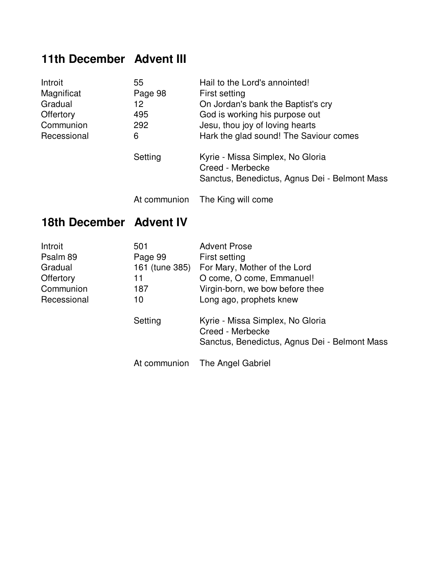# **11th December Advent III**

| Introit                     | 55                                                   | Hail to the Lord's annointed!                 |
|-----------------------------|------------------------------------------------------|-----------------------------------------------|
| Magnificat                  | Page 98                                              | First setting                                 |
| Gradual                     | 12.                                                  | On Jordan's bank the Baptist's cry            |
| Offertory                   | 495                                                  | God is working his purpose out                |
| Communion                   | 292                                                  | Jesu, thou joy of loving hearts               |
| Recessional<br>6<br>Setting | Hark the glad sound! The Saviour comes               |                                               |
|                             | Kyrie - Missa Simplex, No Gloria<br>Creed - Merbecke |                                               |
|                             |                                                      | Sanctus, Benedictus, Agnus Dei - Belmont Mass |
|                             | At communion                                         | The King will come                            |

## **18th December Advent IV**

| Introit                      | 501            | <b>Advent Prose</b>                                                                                   |
|------------------------------|----------------|-------------------------------------------------------------------------------------------------------|
| Psalm 89                     | Page 99        | First setting                                                                                         |
| Gradual                      | 161 (tune 385) | For Mary, Mother of the Lord                                                                          |
| Offertory                    | 11             | O come, O come, Emmanuel!                                                                             |
| Communion                    | 187            | Virgin-born, we bow before thee                                                                       |
| Recessional<br>10<br>Setting |                | Long ago, prophets knew                                                                               |
|                              |                | Kyrie - Missa Simplex, No Gloria<br>Creed - Merbecke<br>Sanctus, Benedictus, Agnus Dei - Belmont Mass |
|                              | At communion   | The Angel Gabriel                                                                                     |